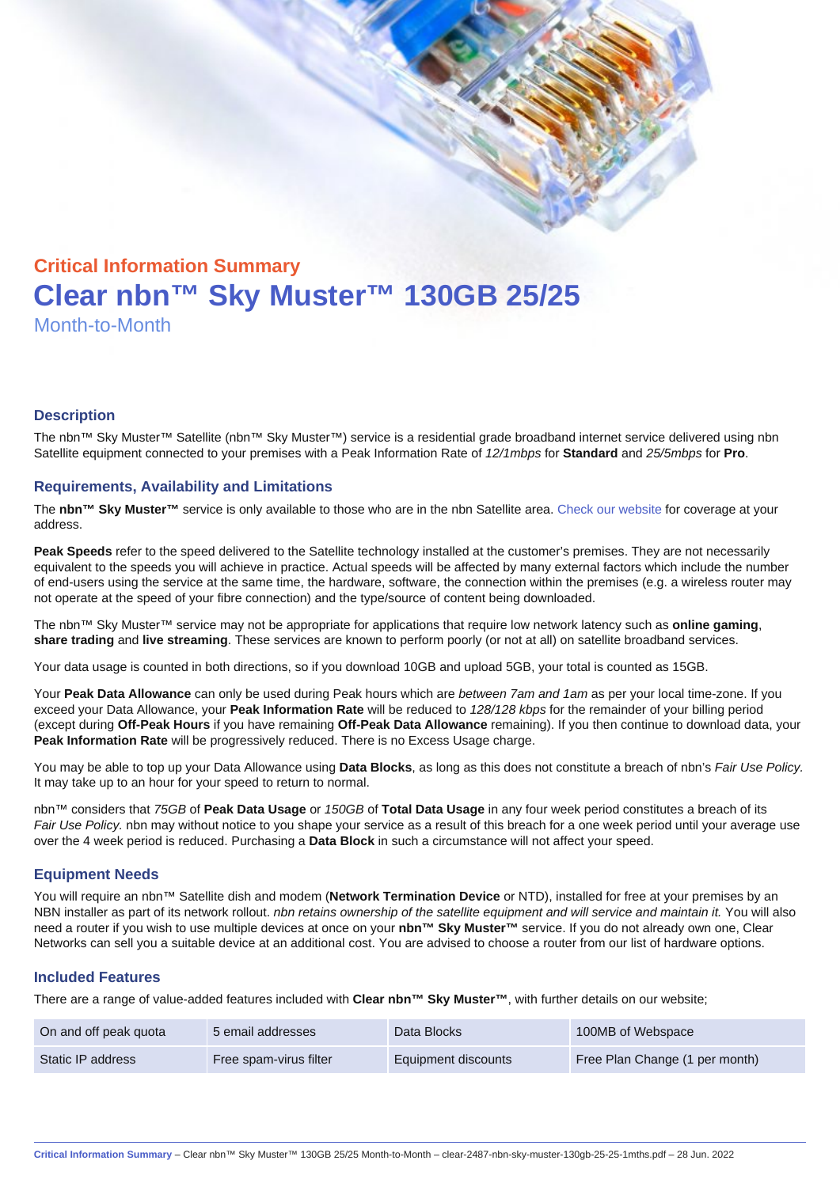# Critical Information Summary Clear nbn™ Sky Muster™ 130GB 25/25 Month-to-Month

#### **Description**

The nbn™ Sky Muster™ Satellite (nbn™ Sky Muster™) service is a residential grade broadband internet service delivered using nbn Satellite equipment connected to your premises with a Peak Information Rate of 12/1mbps for Standard and 25/5mbps for Pro.

#### Requirements, Availability and Limitations

The nbn™ Sky Muster™ service is only available to those who are in the nbn Satellite area. [Check our website](https://www.clear.com.au/business/nbn-sky-muster/availability-coverage/) for coverage at your address.

Peak Speeds refer to the speed delivered to the Satellite technology installed at the customer's premises. They are not necessarily equivalent to the speeds you will achieve in practice. Actual speeds will be affected by many external factors which include the number of end-users using the service at the same time, the hardware, software, the connection within the premises (e.g. a wireless router may not operate at the speed of your fibre connection) and the type/source of content being downloaded.

The nbn™ Sky Muster™ service may not be appropriate for applications that require low network latency such as online gaming , share trading and live streaming . These services are known to perform poorly (or not at all) on satellite broadband services.

Your data usage is counted in both directions, so if you download 10GB and upload 5GB, your total is counted as 15GB.

Your Peak Data Allowance can only be used during Peak hours which are between 7am and 1am as per your local time-zone. If you exceed your Data Allowance, your Peak Information Rate will be reduced to 128/128 kbps for the remainder of your billing period (except during Off-Peak Hours if you have remaining Off-Peak Data Allowance remaining). If you then continue to download data, your Peak Information Rate will be progressively reduced. There is no Excess Usage charge.

You may be able to top up your Data Allowance using Data Blocks , as long as this does not constitute a breach of nbn's Fair Use Policy. It may take up to an hour for your speed to return to normal.

nbn™ considers that 75GB of Peak Data Usage or 150GB of Total Data Usage in any four week period constitutes a breach of its Fair Use Policy. nbn may without notice to you shape your service as a result of this breach for a one week period until your average use over the 4 week period is reduced. Purchasing a Data Block in such a circumstance will not affect your speed.

#### Equipment Needs

You will require an nbn™ Satellite dish and modem (Network Termination Device or NTD), installed for free at your premises by an NBN installer as part of its network rollout. nbn retains ownership of the satellite equipment and will service and maintain it. You will also need a router if you wish to use multiple devices at once on your nbn™ Sky Muster™ service. If you do not already own one, Clear Networks can sell you a suitable device at an additional cost. You are advised to choose a router from our list of hardware options.

#### Included Features

There are a range of value-added features included with Clear nbn™ Sky Muster™ , with further details on our website;

| On and off peak quota | 5 email addresses      | Data Blocks         | 100MB of Webspace              |
|-----------------------|------------------------|---------------------|--------------------------------|
| Static IP address     | Free spam-virus filter | Equipment discounts | Free Plan Change (1 per month) |